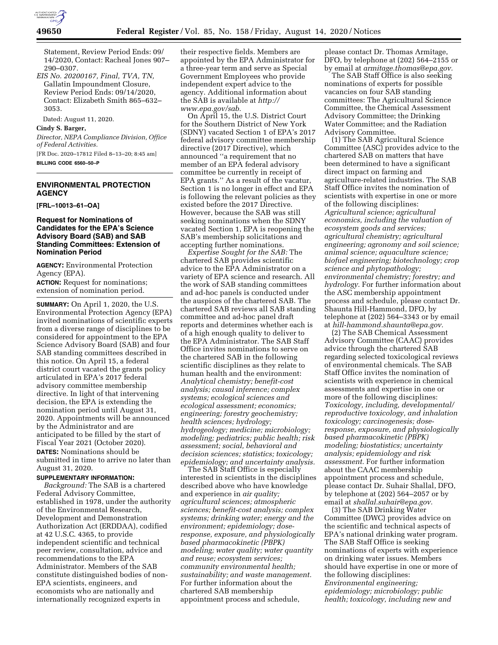

Statement, Review Period Ends: 09/ 14/2020, Contact: Racheal Jones 907– 290–0307.

*EIS No. 20200167, Final, TVA, TN,*  Gallatin Impoundment Closure, Review Period Ends: 09/14/2020, Contact: Elizabeth Smith 865–632– 3053.

Dated: August 11, 2020.

## **Cindy S. Barger,**

*Director, NEPA Compliance Division, Office of Federal Activities.* 

[FR Doc. 2020–17812 Filed 8–13–20; 8:45 am] **BILLING CODE 6560–50–P** 

# **ENVIRONMENTAL PROTECTION AGENCY**

**[FRL–10013–61–OA]** 

## **Request for Nominations of Candidates for the EPA's Science Advisory Board (SAB) and SAB Standing Committees: Extension of Nomination Period**

**AGENCY:** Environmental Protection Agency (EPA).

**ACTION:** Request for nominations; extension of nomination period.

**SUMMARY:** On April 1, 2020, the U.S. Environmental Protection Agency (EPA) invited nominations of scientific experts from a diverse range of disciplines to be considered for appointment to the EPA Science Advisory Board (SAB) and four SAB standing committees described in this notice. On April 15, a federal district court vacated the grants policy articulated in EPA's 2017 federal advisory committee membership directive. In light of that intervening decision, the EPA is extending the nomination period until August 31, 2020. Appointments will be announced by the Administrator and are anticipated to be filled by the start of Fiscal Year 2021 (October 2020). **DATES:** Nominations should be submitted in time to arrive no later than August 31, 2020.

### **SUPPLEMENTARY INFORMATION:**

*Background:* The SAB is a chartered Federal Advisory Committee, established in 1978, under the authority of the Environmental Research, Development and Demonstration Authorization Act (ERDDAA), codified at 42 U.S.C. 4365, to provide independent scientific and technical peer review, consultation, advice and recommendations to the EPA Administrator. Members of the SAB constitute distinguished bodies of non-EPA scientists, engineers, and economists who are nationally and internationally recognized experts in

their respective fields. Members are appointed by the EPA Administrator for a three-year term and serve as Special Government Employees who provide independent expert advice to the agency. Additional information about the SAB is available at *[http://](http://www.epa.gov/sab) [www.epa.gov/sab.](http://www.epa.gov/sab)* 

On April 15, the U.S. District Court for the Southern District of New York (SDNY) vacated Section 1 of EPA's 2017 federal advisory committee membership directive (2017 Directive), which announced ''a requirement that no member of an EPA federal advisory committee be currently in receipt of EPA grants.'' As a result of the vacatur, Section 1 is no longer in effect and EPA is following the relevant policies as they existed before the 2017 Directive. However, because the SAB was still seeking nominations when the SDNY vacated Section 1, EPA is reopening the SAB's membership solicitations and accepting further nominations.

*Expertise Sought for the SAB:* The chartered SAB provides scientific advice to the EPA Administrator on a variety of EPA science and research. All the work of SAB standing committees and ad-hoc panels is conducted under the auspices of the chartered SAB. The chartered SAB reviews all SAB standing committee and ad-hoc panel draft reports and determines whether each is of a high enough quality to deliver to the EPA Administrator. The SAB Staff Office invites nominations to serve on the chartered SAB in the following scientific disciplines as they relate to human health and the environment: *Analytical chemistry; benefit-cost analysis; causal inference; complex systems; ecological sciences and ecological assessment; economics; engineering; forestry geochemistry; health sciences; hydrology; hydrogeology; medicine; microbiology; modeling; pediatrics; public health; risk assessment; social, behavioral and decision sciences; statistics; toxicology; epidemiology; and uncertainty analysis.* 

The SAB Staff Office is especially interested in scientists in the disciplines described above who have knowledge and experience in *air quality; agricultural sciences; atmospheric sciences; benefit-cost analysis; complex systems; drinking water; energy and the environment; epidemiology; doseresponse, exposure, and physiologically based pharmacokinetic (PBPK) modeling; water quality; water quantity and reuse; ecosystem services; community environmental health; sustainability; and waste management.*  For further information about the chartered SAB membership appointment process and schedule,

please contact Dr. Thomas Armitage, DFO, by telephone at (202) 564–2155 or by email at *[armitage.thomas@epa.gov.](mailto:armitage.thomas@epa.gov)* 

The SAB Staff Office is also seeking nominations of experts for possible vacancies on four SAB standing committees: The Agricultural Science Committee, the Chemical Assessment Advisory Committee; the Drinking Water Committee; and the Radiation Advisory Committee.

(1) The SAB Agricultural Science Committee (ASC) provides advice to the chartered SAB on matters that have been determined to have a significant direct impact on farming and agriculture-related industries. The SAB Staff Office invites the nomination of scientists with expertise in one or more of the following disciplines: *Agricultural science; agricultural economics, including the valuation of ecosystem goods and services; agricultural chemistry; agricultural engineering; agronomy and soil science; animal science; aquaculture science; biofuel engineering; biotechnology; crop science and phytopathology; environmental chemistry; forestry; and hydrology.* For further information about the ASC membership appointment process and schedule, please contact Dr. Shaunta Hill-Hammond, DFO, by telephone at (202) 564–3343 or by email at *[hill-hammond.shaunta@epa.gov.](mailto:hill-hammond.shaunta@epa.gov)* 

(2) The SAB Chemical Assessment Advisory Committee (CAAC) provides advice through the chartered SAB regarding selected toxicological reviews of environmental chemicals. The SAB Staff Office invites the nomination of scientists with experience in chemical assessments and expertise in one or more of the following disciplines: *Toxicology, including, developmental/ reproductive toxicology, and inhalation toxicology; carcinogenesis; doseresponse, exposure, and physiologically based pharmacokinetic (PBPK) modeling; biostatistics; uncertainty analysis; epidemiology and risk assessment.* For further information about the CAAC membership appointment process and schedule, please contact Dr. Suhair Shallal, DFO, by telephone at (202) 564–2057 or by email at *[shallal.suhair@epa.gov.](mailto:shallal.suhair@epa.gov)* 

(3) The SAB Drinking Water Committee (DWC) provides advice on the scientific and technical aspects of EPA's national drinking water program. The SAB Staff Office is seeking nominations of experts with experience on drinking water issues. Members should have expertise in one or more of the following disciplines: *Environmental engineering; epidemiology; microbiology; public health; toxicology, including new and*